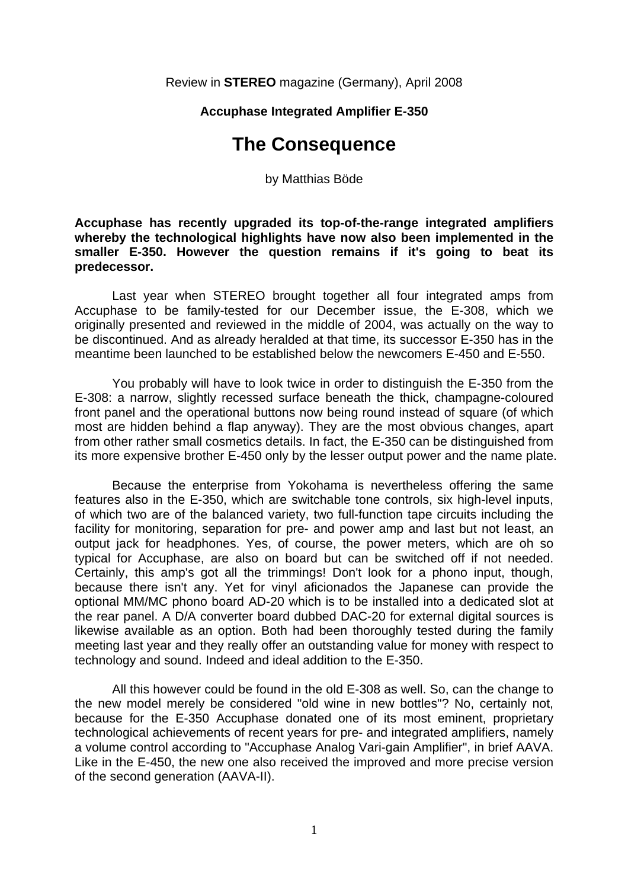Review in **STEREO** magazine (Germany), April 2008

## **Accuphase Integrated Amplifier E-350**

## **The Consequence**

by Matthias Böde

**Accuphase has recently upgraded its top-of-the-range integrated amplifiers whereby the technological highlights have now also been implemented in the smaller E-350. However the question remains if it's going to beat its predecessor.** 

 Last year when STEREO brought together all four integrated amps from Accuphase to be family-tested for our December issue, the E-308, which we originally presented and reviewed in the middle of 2004, was actually on the way to be discontinued. And as already heralded at that time, its successor E-350 has in the meantime been launched to be established below the newcomers E-450 and E-550.

 You probably will have to look twice in order to distinguish the E-350 from the E-308: a narrow, slightly recessed surface beneath the thick, champagne-coloured front panel and the operational buttons now being round instead of square (of which most are hidden behind a flap anyway). They are the most obvious changes, apart from other rather small cosmetics details. In fact, the E-350 can be distinguished from its more expensive brother E-450 only by the lesser output power and the name plate.

 Because the enterprise from Yokohama is nevertheless offering the same features also in the E-350, which are switchable tone controls, six high-level inputs, of which two are of the balanced variety, two full-function tape circuits including the facility for monitoring, separation for pre- and power amp and last but not least, an output jack for headphones. Yes, of course, the power meters, which are oh so typical for Accuphase, are also on board but can be switched off if not needed. Certainly, this amp's got all the trimmings! Don't look for a phono input, though, because there isn't any. Yet for vinyl aficionados the Japanese can provide the optional MM/MC phono board AD-20 which is to be installed into a dedicated slot at the rear panel. A D/A converter board dubbed DAC-20 for external digital sources is likewise available as an option. Both had been thoroughly tested during the family meeting last year and they really offer an outstanding value for money with respect to technology and sound. Indeed and ideal addition to the E-350.

 All this however could be found in the old E-308 as well. So, can the change to the new model merely be considered "old wine in new bottles"? No, certainly not, because for the E-350 Accuphase donated one of its most eminent, proprietary technological achievements of recent years for pre- and integrated amplifiers, namely a volume control according to "Accuphase Analog Vari-gain Amplifier", in brief AAVA. Like in the E-450, the new one also received the improved and more precise version of the second generation (AAVA-II).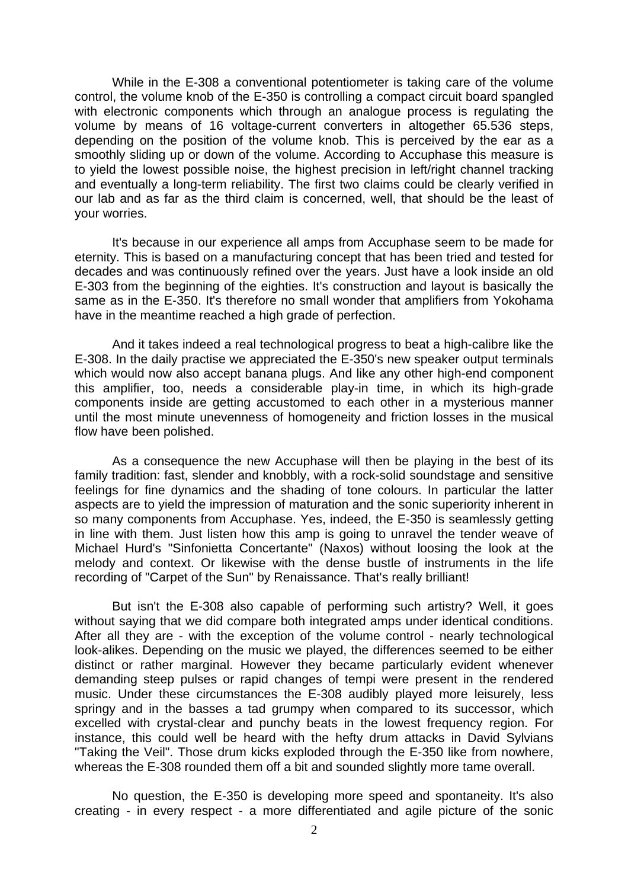While in the E-308 a conventional potentiometer is taking care of the volume control, the volume knob of the E-350 is controlling a compact circuit board spangled with electronic components which through an analogue process is regulating the volume by means of 16 voltage-current converters in altogether 65.536 steps, depending on the position of the volume knob. This is perceived by the ear as a smoothly sliding up or down of the volume. According to Accuphase this measure is to yield the lowest possible noise, the highest precision in left/right channel tracking and eventually a long-term reliability. The first two claims could be clearly verified in our lab and as far as the third claim is concerned, well, that should be the least of your worries.

 It's because in our experience all amps from Accuphase seem to be made for eternity. This is based on a manufacturing concept that has been tried and tested for decades and was continuously refined over the years. Just have a look inside an old E-303 from the beginning of the eighties. It's construction and layout is basically the same as in the E-350. It's therefore no small wonder that amplifiers from Yokohama have in the meantime reached a high grade of perfection.

 And it takes indeed a real technological progress to beat a high-calibre like the E-308. In the daily practise we appreciated the E-350's new speaker output terminals which would now also accept banana plugs. And like any other high-end component this amplifier, too, needs a considerable play-in time, in which its high-grade components inside are getting accustomed to each other in a mysterious manner until the most minute unevenness of homogeneity and friction losses in the musical flow have been polished.

 As a consequence the new Accuphase will then be playing in the best of its family tradition: fast, slender and knobbly, with a rock-solid soundstage and sensitive feelings for fine dynamics and the shading of tone colours. In particular the latter aspects are to yield the impression of maturation and the sonic superiority inherent in so many components from Accuphase. Yes, indeed, the E-350 is seamlessly getting in line with them. Just listen how this amp is going to unravel the tender weave of Michael Hurd's "Sinfonietta Concertante" (Naxos) without loosing the look at the melody and context. Or likewise with the dense bustle of instruments in the life recording of "Carpet of the Sun" by Renaissance. That's really brilliant!

 But isn't the E-308 also capable of performing such artistry? Well, it goes without saying that we did compare both integrated amps under identical conditions. After all they are - with the exception of the volume control - nearly technological look-alikes. Depending on the music we played, the differences seemed to be either distinct or rather marginal. However they became particularly evident whenever demanding steep pulses or rapid changes of tempi were present in the rendered music. Under these circumstances the E-308 audibly played more leisurely, less springy and in the basses a tad grumpy when compared to its successor, which excelled with crystal-clear and punchy beats in the lowest frequency region. For instance, this could well be heard with the hefty drum attacks in David Sylvians "Taking the Veil". Those drum kicks exploded through the E-350 like from nowhere, whereas the E-308 rounded them off a bit and sounded slightly more tame overall.

 No question, the E-350 is developing more speed and spontaneity. It's also creating - in every respect - a more differentiated and agile picture of the sonic